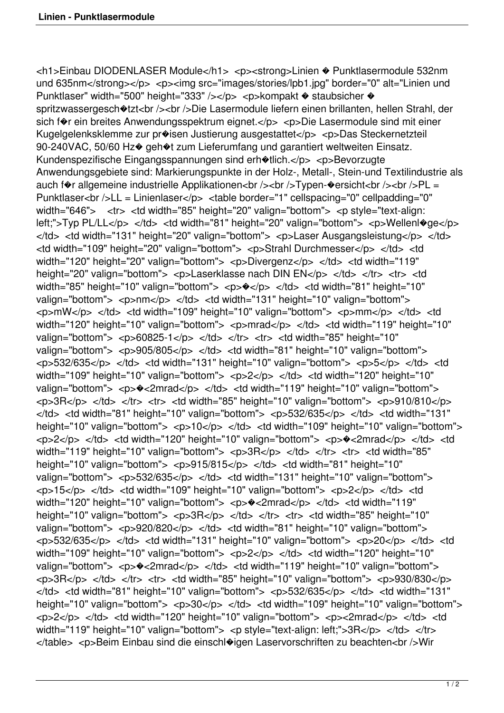<h1>Einbau DIODENLASER Module</h1> <p><strong>Linien � Punktlasermodule 532nm und 635nm</strong></p> <p><img src="images/stories/lpb1.jpg" border="0" alt="Linien und Punktlaser" width="500" height="333" /></p> <p>kompakt  $\bullet$  staubsicher  $\bullet$ spritzwassergesch $\triangleleft$ tzt<br />> /> Die Lasermodule liefern einen brillanten, hellen Strahl, der sich f $\hat{\mathbf{v}}$ r ein breites Anwendungsspektrum eignet.</p> <p>Die Lasermodule sind mit einer Kugelgelenksklemme zur pr�isen Justierung ausgestattet</p> <p>Das Steckernetzteil 90-240VAC, 50/60 Hz $\odot$  geh $\odot$ t zum Lieferumfang und garantiert weltweiten Einsatz. Kundenspezifische Eingangsspannungen sind erh $\text{\textcirc}$ tlich.</p> <p>Bevorzugte Anwendungsgebiete sind: Markierungspunkte in der Holz-, Metall-, Stein-und Textilindustrie als auch f $\hat{\mathbf{v}}$ r allgemeine industrielle Applikationen<br />>/>><br />>/>>Typen- $\hat{\mathbf{v}}$ ersicht<br />>/><br />>/>>PL = Punktlaser<br />LL = Linienlaser</p> <table border="1" cellspacing="0" cellpadding="0" width="646"> <tr> <td width="85" height="20" valign="bottom"> <p style="text-align: left;">Typ PL/LL</p> </td> <td width="81" height="20" valign="bottom"> <p>Wellenl�ge</p> </td> <td width="131" height="20" valign="bottom"> <p>Laser Ausgangsleistung</p> </td> <td width="109" height="20" valign="bottom"> <p>Strahl Durchmesser</p> </td> <td width="120" height="20" valign="bottom"> <p>Divergenz</p> </td> <td width="119" height="20" valign="bottom"> <p>Laserklasse nach DIN EN</p> </td> </tr> <tr> <td width="85" height="10" valign="bottom"> <p> $\sqrt{\frac{9}{5}}$  </td> <td width="81" height="10" valign="bottom"> <p>nm</p> </td> <td width="131" height="10" valign="bottom">  $p>mv<sub>0</sub>$   $p>$   $\leq$   $t$ d $>$   $<$ td width="109" height="10" valign="bottom">  $\leq$   $p>mm<sub>0</sub>$   $\leq$   $t$ d $>$   $<$ td  $t$ width="120" height="10" valign="bottom"> <p>mrad</p> </td> <td width="119" height="10" valign="bottom"> <p>60825-1</p> </td> </tr> <tr> <td width="85" height="10" valign="bottom"> <p>905/805</p> </td> <td width="81" height="10" valign="bottom">  $\langle p \rangle$  =532/635 $\langle p \rangle$   $\langle t$ d $>$   $\langle t$ dd $>$   $\langle t$ dd $>$   $\langle t \rangle$  width="131" height="10" valign="bottom">  $\langle p \rangle$   $\langle p \rangle$   $\langle t \rangle$   $\langle t \rangle$   $\langle t \rangle$ width="109" height="10" valign="bottom"> <p>2</p> </td> <td width="120" height="10" valign="bottom"> <p> $\triangleleft$ <2mrad</p> </td> <td width="119" height="10" valign="bottom">  $\langle p \rangle$  </td> </tr> <tr> <td width="85" height="10" valign="bottom"> <p>910/810</p>  $\langle \rangle$ d>  $\langle \rangle$ td>  $\langle \rangle$ td width="81" height="10" valign="bottom">  $\langle \rangle$   $\langle \rangle$ p>  $\langle \rangle$ d>  $\langle \rangle$ td>  $\langle \rangle$ td width="131" height="10" valign="bottom"> <p>10</p> </td> <td width="109" height="10" valign="bottom"> <p>2</p> </td> <td width="120" height="10" valign="bottom"> <p>�<2mrad</p> </td> <td width="119" height="10" valign="bottom"> <p>3R</p> </td> </tr> <tr> <td width="85" height="10" valign="bottom"> <p>915/815</p> </td> <td width="81" height="10" valign="bottom"> <p>532/635</p> </td> <td width="131" height="10" valign="bottom">  $\langle p \rangle$  =15 $\langle p \rangle$   $\langle r \rangle$   $\langle r \rangle$  and width="109" height="10" valign="bottom">  $\langle p \rangle$   $\langle p \rangle$   $\langle r \rangle$   $\langle r \rangle$  and  $\langle r \rangle$ width="120" height="10" valign="bottom"> <p> $\triangleleft$ <2mrad</p> </td> <td width="119" height="10" valign="bottom"> <p>3R</p> </td> </tr> <tr> <td width="85" height="10" valign="bottom"> <p>920/820</p> </td> <td width="81" height="10" valign="bottom">  $<$ p>532/635 $<$ /p> $<$ /td> $<$ td width="131" height="10" valign="bottom"> $<$ p>20 $<$ /p> $<$ /td> $<$ td width="109" height="10" valign="bottom"> <p>2</p> </td> <td width="120" height="10" valign="bottom"> <p> $\triangleleft$ <2mrad</p> </td> <td width="119" height="10" valign="bottom">  $p>3R$   $p > 3R$   $p > 1R$   $p > 1R$   $p > 1R$   $p > 1R$   $p > 1R$  $\langle \rangle$ d>  $\langle$ td width="81" height="10" valign="bottom">  $\langle \rangle$   $\langle \rangle$  = 532/635 $\langle \rangle$ p>  $\langle \rangle$  td>  $\langle \rangle$  td width="131" height="10" valign="bottom"> <p>30</p> </td> <td width="109" height="10" valign="bottom">  $\langle \text{d}x \rangle = \langle \text{d}x \rangle$   $\langle \text{d}x \rangle$   $\langle \text{d}x \rangle$  and  $\langle \text{d}x \rangle = \langle \text{d}x \rangle$  and  $\langle \text{d}y \rangle$  and  $\langle \text{d}y \rangle$  and  $\langle \text{d}y \rangle$  and  $\langle \text{d}y \rangle$  and  $\langle \text{d}y \rangle$  and  $\langle \text{d}y \rangle$  and  $\langle \text{d}y \rangle$  and  $\langle \text{d}y \rangle$  and  $\langle$ width="119" height="10" valign="bottom"> <p style="text-align: left:">3R</p> </td> </tr> </table> <p>Beim Einbau sind die einschl�igen Laservorschriften zu beachten<br />Wir